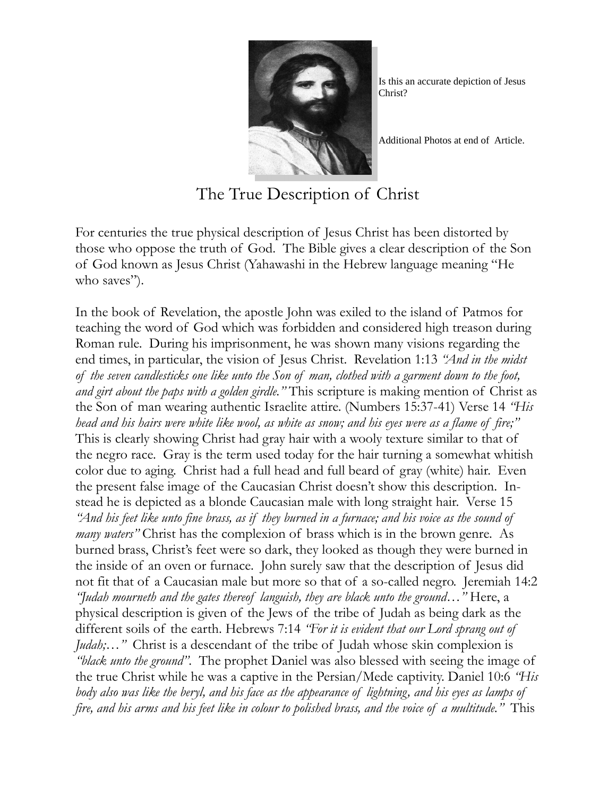

Is this an accurate depiction of Jesus Christ?

Additional Photos at end of Article.

The True Description of Christ

For centuries the true physical description of Jesus Christ has been distorted by those who oppose the truth of God. The Bible gives a clear description of the Son of God known as Jesus Christ (Yahawashi in the Hebrew language meaning "He who saves").

In the book of Revelation, the apostle John was exiled to the island of Patmos for teaching the word of God which was forbidden and considered high treason during Roman rule. During his imprisonment, he was shown many visions regarding the end times, in particular, the vision of Jesus Christ. Revelation 1:13 *"And in the midst of the seven candlesticks one like unto the Son of man, clothed with a garment down to the foot, and girt about the paps with a golden girdle."* This scripture is making mention of Christ as the Son of man wearing authentic Israelite attire. (Numbers 15:37-41) Verse 14 *"His head and his hairs were white like wool, as white as snow; and his eyes were as a flame of fire;"* This is clearly showing Christ had gray hair with a wooly texture similar to that of the negro race. Gray is the term used today for the hair turning a somewhat whitish color due to aging. Christ had a full head and full beard of gray (white) hair. Even the present false image of the Caucasian Christ doesn't show this description. Instead he is depicted as a blonde Caucasian male with long straight hair. Verse 15 *"And his feet like unto fine brass, as if they burned in a furnace; and his voice as the sound of many waters*" Christ has the complexion of brass which is in the brown genre. As burned brass, Christ's feet were so dark, they looked as though they were burned in the inside of an oven or furnace. John surely saw that the description of Jesus did not fit that of a Caucasian male but more so that of a so-called negro. Jeremiah 14:2 *"Judah mourneth and the gates thereof languish, they are black unto the ground…"* Here, a physical description is given of the Jews of the tribe of Judah as being dark as the different soils of the earth. Hebrews 7:14 *"For it is evident that our Lord sprang out of Judah;...*" Christ is a descendant of the tribe of Judah whose skin complexion is *"black unto the ground"*. The prophet Daniel was also blessed with seeing the image of the true Christ while he was a captive in the Persian/Mede captivity. Daniel 10:6 *"His body also was like the beryl, and his face as the appearance of lightning, and his eyes as lamps of fire, and his arms and his feet like in colour to polished brass, and the voice of a multitude."* This